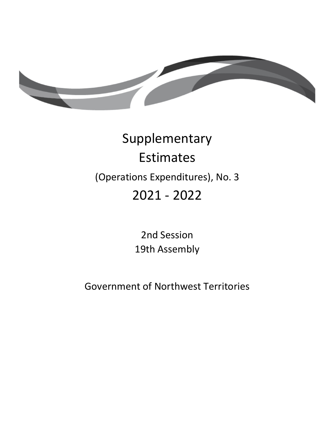

# Supplementary Estimates (Operations Expenditures), No. 3 2021 ‐ 2022

2nd Session 19th Assembly

Government of Northwest Territories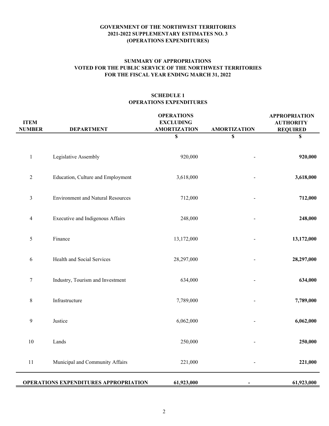### **GOVERNMENT OF THE NORTHWEST TERRITORIES 2021-2022 SUPPLEMENTARY ESTIMATES NO. 3 (OPERATIONS EXPENDITURES)** TD 579-19(2) TABLED ON MARCH 1, 2022

# **FOR THE FISCAL YEAR ENDING MARCH 31, 2022 SUMMARY OF APPROPRIATIONS VOTED FOR THE PUBLIC SERVICE OF THE NORTHWEST TERRITORIES**

## **SCHEDULE 1 OPERATIONS EXPENDITURES**

| <b>ITEM</b><br><b>NUMBER</b> | <b>DEPARTMENT</b>                            | <b>OPERATIONS</b><br><b>EXCLUDING</b><br><b>AMORTIZATION</b> | <b>AMORTIZATION</b> | <b>APPROPRIATION</b><br><b>AUTHORITY</b><br><b>REQUIRED</b> |
|------------------------------|----------------------------------------------|--------------------------------------------------------------|---------------------|-------------------------------------------------------------|
|                              |                                              | \$                                                           | \$                  | $\mathbf S$                                                 |
| $\mathbf{1}$                 | Legislative Assembly                         | 920,000                                                      |                     | 920,000                                                     |
| $\sqrt{2}$                   | Education, Culture and Employment            | 3,618,000                                                    |                     | 3,618,000                                                   |
| $\mathfrak{Z}$               | <b>Environment and Natural Resources</b>     | 712,000                                                      |                     | 712,000                                                     |
| $\overline{\mathcal{A}}$     | Executive and Indigenous Affairs             | 248,000                                                      |                     | 248,000                                                     |
| 5                            | Finance                                      | 13,172,000                                                   |                     | 13,172,000                                                  |
| $\sqrt{6}$                   | Health and Social Services                   | 28,297,000                                                   |                     | 28,297,000                                                  |
| $\boldsymbol{7}$             | Industry, Tourism and Investment             | 634,000                                                      |                     | 634,000                                                     |
| $\,8\,$                      | Infrastructure                               | 7,789,000                                                    |                     | 7,789,000                                                   |
| $\boldsymbol{9}$             | Justice                                      | 6,062,000                                                    |                     | 6,062,000                                                   |
| $10\,$                       | Lands                                        | 250,000                                                      |                     | 250,000                                                     |
| $11\,$                       | Municipal and Community Affairs              | 221,000                                                      |                     | 221,000                                                     |
|                              | <b>OPERATIONS EXPENDITURES APPROPRIATION</b> | 61,923,000                                                   |                     | 61,923,000                                                  |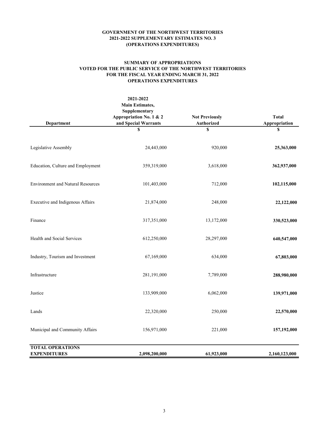#### **SUMMARY OF APPROPRIATIONS VOTED FOR THE PUBLIC SERVICE OF THE NORTHWEST TERRITORIES FOR THE FISCAL YEAR ENDING MARCH 31, 2022 OPERATIONS EXPENDITURES**

| Department                                     | 2021-2022<br><b>Main Estimates,</b><br>Supplementary<br>Appropriation No. 1 & 2<br>and Special Warrants | <b>Not Previously</b><br>Authorized | <b>Total</b><br>Appropriation |
|------------------------------------------------|---------------------------------------------------------------------------------------------------------|-------------------------------------|-------------------------------|
|                                                | S                                                                                                       | \$                                  | \$                            |
| Legislative Assembly                           | 24,443,000                                                                                              | 920,000                             | 25,363,000                    |
| Education, Culture and Employment              | 359,319,000                                                                                             | 3,618,000                           | 362,937,000                   |
| <b>Environment and Natural Resources</b>       | 101,403,000                                                                                             | 712,000                             | 102,115,000                   |
| Executive and Indigenous Affairs               | 21,874,000                                                                                              | 248,000                             | 22,122,000                    |
| Finance                                        | 317,351,000                                                                                             | 13,172,000                          | 330,523,000                   |
| Health and Social Services                     | 612,250,000                                                                                             | 28,297,000                          | 640,547,000                   |
| Industry, Tourism and Investment               | 67,169,000                                                                                              | 634,000                             | 67,803,000                    |
| Infrastructure                                 | 281,191,000                                                                                             | 7,789,000                           | 288,980,000                   |
| Justice                                        | 133,909,000                                                                                             | 6,062,000                           | 139,971,000                   |
| Lands                                          | 22,320,000                                                                                              | 250,000                             | 22,570,000                    |
| Municipal and Community Affairs                | 156,971,000                                                                                             | 221,000                             | 157,192,000                   |
| <b>TOTAL OPERATIONS</b><br><b>EXPENDITURES</b> | 2,098,200,000                                                                                           | 61,923,000                          | 2,160,123,000                 |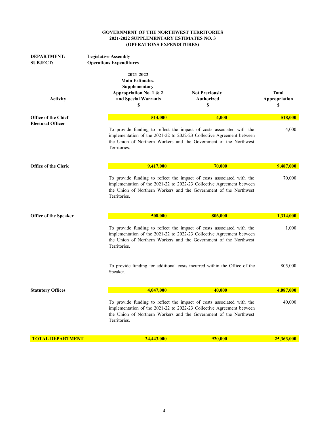| <b>DEPARTMENT:</b><br><b>SUBJECT:</b> | <b>Legislative Assembly</b><br><b>Operations Expenditures</b>                                                 |                                                                                                                                                                                                                     |                                     |  |
|---------------------------------------|---------------------------------------------------------------------------------------------------------------|---------------------------------------------------------------------------------------------------------------------------------------------------------------------------------------------------------------------|-------------------------------------|--|
| <b>Activity</b>                       | 2021-2022<br><b>Main Estimates,</b><br>Supplementary<br>Appropriation No. 1 & 2<br>and Special Warrants<br>\$ | <b>Not Previously</b><br><b>Authorized</b><br>S                                                                                                                                                                     | <b>Total</b><br>Appropriation<br>\$ |  |
| <b>Office of the Chief</b>            | 514,000                                                                                                       | 4,000                                                                                                                                                                                                               | 518,000                             |  |
| <b>Electoral Officer</b>              | Territories.                                                                                                  | To provide funding to reflect the impact of costs associated with the<br>implementation of the 2021-22 to 2022-23 Collective Agreement between<br>the Union of Northern Workers and the Government of the Northwest |                                     |  |
| <b>Office of the Clerk</b>            | 9,417,000                                                                                                     | 70,000                                                                                                                                                                                                              | 9,487,000                           |  |
|                                       | Territories.                                                                                                  | To provide funding to reflect the impact of costs associated with the<br>implementation of the 2021-22 to 2022-23 Collective Agreement between<br>the Union of Northern Workers and the Government of the Northwest | 70,000                              |  |
| Office of the Speaker                 | 508,000                                                                                                       | 806,000                                                                                                                                                                                                             | 1,314,000                           |  |
|                                       | Territories.                                                                                                  | To provide funding to reflect the impact of costs associated with the<br>implementation of the 2021-22 to 2022-23 Collective Agreement between<br>the Union of Northern Workers and the Government of the Northwest | 1,000                               |  |
|                                       | Speaker.                                                                                                      | To provide funding for additional costs incurred within the Office of the                                                                                                                                           | 805,000                             |  |
| <b>Statutory Offices</b>              | 4,047,000                                                                                                     | 40,000                                                                                                                                                                                                              | 4,087,000                           |  |
|                                       | Territories.                                                                                                  | To provide funding to reflect the impact of costs associated with the<br>implementation of the 2021-22 to 2022-23 Collective Agreement between<br>the Union of Northern Workers and the Government of the Northwest | 40,000                              |  |
| <b>TOTAL DEPARTMENT</b>               | 24,443,000                                                                                                    | 920,000                                                                                                                                                                                                             | 25,363,000                          |  |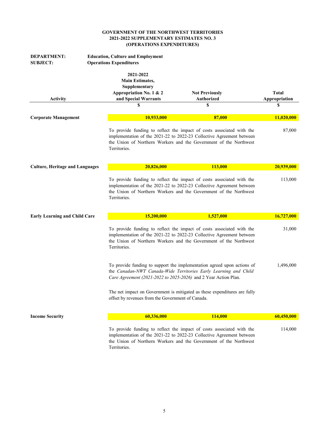| <b>DEPARTMENT:</b><br><b>SUBJECT:</b>  | <b>Education, Culture and Employment</b><br><b>Operations Expenditures</b>                                                                                                                                                          |                                                                                                                                                                                                                     |                                     |
|----------------------------------------|-------------------------------------------------------------------------------------------------------------------------------------------------------------------------------------------------------------------------------------|---------------------------------------------------------------------------------------------------------------------------------------------------------------------------------------------------------------------|-------------------------------------|
| <b>Activity</b>                        | 2021-2022<br><b>Main Estimates,</b><br>Supplementary<br>Appropriation No. 1 & 2<br>and Special Warrants<br>\$                                                                                                                       | <b>Not Previously</b><br><b>Authorized</b><br>\$                                                                                                                                                                    | <b>Total</b><br>Appropriation<br>\$ |
|                                        |                                                                                                                                                                                                                                     |                                                                                                                                                                                                                     |                                     |
| <b>Corporate Management</b>            | 10,933,000                                                                                                                                                                                                                          | 87,000                                                                                                                                                                                                              | 11,020,000                          |
|                                        | Territories.                                                                                                                                                                                                                        | To provide funding to reflect the impact of costs associated with the<br>implementation of the 2021-22 to 2022-23 Collective Agreement between<br>the Union of Northern Workers and the Government of the Northwest | 87,000                              |
| <b>Culture, Heritage and Languages</b> | 20,826,000                                                                                                                                                                                                                          | 113,000                                                                                                                                                                                                             | 20,939,000                          |
|                                        | To provide funding to reflect the impact of costs associated with the<br>implementation of the 2021-22 to 2022-23 Collective Agreement between<br>the Union of Northern Workers and the Government of the Northwest<br>Territories. |                                                                                                                                                                                                                     |                                     |
| <b>Early Learning and Child Care</b>   | 15,200,000                                                                                                                                                                                                                          | 1,527,000                                                                                                                                                                                                           | 16,727,000                          |
|                                        | Territories.                                                                                                                                                                                                                        | To provide funding to reflect the impact of costs associated with the<br>implementation of the 2021-22 to 2022-23 Collective Agreement between<br>the Union of Northern Workers and the Government of the Northwest | 31,000                              |
|                                        | Care Agreement (2021-2022 to 2025-2026) and 2 Year Action Plan.                                                                                                                                                                     | To provide funding to support the implementation agreed upon actions of<br>the Canadan-NWT Canada-Wide Territories Early Learning and Child                                                                         | 1,496,000                           |
|                                        | offset by revenues from the Government of Canada.                                                                                                                                                                                   | The net impact on Government is mitigated as these expenditures are fully                                                                                                                                           |                                     |
| <b>Income Security</b>                 | 60,336,000                                                                                                                                                                                                                          | 114,000                                                                                                                                                                                                             | 60,450,000                          |
|                                        | Territories.                                                                                                                                                                                                                        | To provide funding to reflect the impact of costs associated with the<br>implementation of the 2021-22 to 2022-23 Collective Agreement between<br>the Union of Northern Workers and the Government of the Northwest | 114,000                             |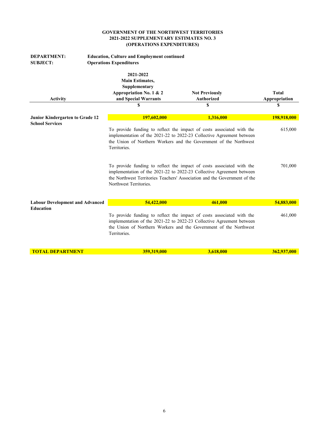| <b>DEPARTMENT:</b><br><b>SUBJECT:</b>                     | <b>Education, Culture and Employment continued</b><br><b>Operations Expenditures</b>                    |                                                                                                                                                                                                                                                                                                                                                                                                                                                    |                               |  |
|-----------------------------------------------------------|---------------------------------------------------------------------------------------------------------|----------------------------------------------------------------------------------------------------------------------------------------------------------------------------------------------------------------------------------------------------------------------------------------------------------------------------------------------------------------------------------------------------------------------------------------------------|-------------------------------|--|
| <b>Activity</b>                                           | 2021-2022<br><b>Main Estimates,</b><br>Supplementary<br>Appropriation No. 1 & 2<br>and Special Warrants | <b>Not Previously</b><br><b>Authorized</b>                                                                                                                                                                                                                                                                                                                                                                                                         | <b>Total</b><br>Appropriation |  |
|                                                           | \$                                                                                                      | S                                                                                                                                                                                                                                                                                                                                                                                                                                                  | \$                            |  |
| Junior Kindergarten to Grade 12<br><b>School Services</b> | 197,602,000                                                                                             | 1,316,000                                                                                                                                                                                                                                                                                                                                                                                                                                          | 198,918,000                   |  |
|                                                           | Territories.<br>Northwest Territories.                                                                  | To provide funding to reflect the impact of costs associated with the<br>implementation of the 2021-22 to 2022-23 Collective Agreement between<br>the Union of Northern Workers and the Government of the Northwest<br>To provide funding to reflect the impact of costs associated with the<br>implementation of the 2021-22 to 2022-23 Collective Agreement between<br>the Northwest Territories Teachers' Association and the Government of the |                               |  |
| <b>Labour Development and Advanced</b>                    | 54,422,000                                                                                              | 461,000                                                                                                                                                                                                                                                                                                                                                                                                                                            | 54,883,000                    |  |
| <b>Education</b>                                          | Territories.                                                                                            | To provide funding to reflect the impact of costs associated with the<br>implementation of the 2021-22 to 2022-23 Collective Agreement between<br>the Union of Northern Workers and the Government of the Northwest                                                                                                                                                                                                                                | 461,000                       |  |
| <b>TOTAL DEPARTMENT</b>                                   | 359,319,000                                                                                             | 3,618,000                                                                                                                                                                                                                                                                                                                                                                                                                                          | 362,937,000                   |  |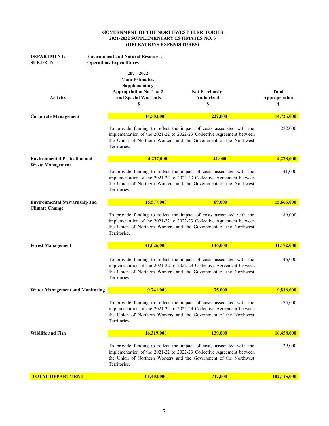| <b>DEPARTMENT:</b><br><b>SUBJECT:</b>  | <b>Environment and Natural Resources</b><br><b>Operations Expenditures</b>                              |                                                                                                                                                                                                                     |                               |
|----------------------------------------|---------------------------------------------------------------------------------------------------------|---------------------------------------------------------------------------------------------------------------------------------------------------------------------------------------------------------------------|-------------------------------|
| <b>Activity</b>                        | 2021-2022<br><b>Main Estimates,</b><br>Supplementary<br>Appropriation No. 1 & 2<br>and Special Warrants | <b>Not Previously</b><br><b>Authorized</b>                                                                                                                                                                          | <b>Total</b><br>Appropriation |
|                                        | \$                                                                                                      | \$                                                                                                                                                                                                                  | \$                            |
| <b>Corporate Management</b>            | 14,503,000                                                                                              | 222,000                                                                                                                                                                                                             | 14,725,000                    |
|                                        | Territories.                                                                                            | To provide funding to reflect the impact of costs associated with the<br>implementation of the 2021-22 to 2022-23 Collective Agreement between<br>the Union of Northern Workers and the Government of the Northwest | 222,000                       |
| <b>Environmental Protection and</b>    | 4,237,000                                                                                               | 41,000                                                                                                                                                                                                              | 4,278,000                     |
| <b>Waste Management</b>                | Territories.                                                                                            | To provide funding to reflect the impact of costs associated with the<br>implementation of the 2021-22 to 2022-23 Collective Agreement between<br>the Union of Northern Workers and the Government of the Northwest |                               |
| <b>Environmental Stewardship and</b>   | 15,577,000                                                                                              | 89,000                                                                                                                                                                                                              | 15,666,000                    |
| <b>Climate Change</b>                  | Territories.                                                                                            | To provide funding to reflect the impact of costs associated with the<br>implementation of the 2021-22 to 2022-23 Collective Agreement between<br>the Union of Northern Workers and the Government of the Northwest | 89,000                        |
| <b>Forest Management</b>               | 41,026,000                                                                                              | 146,000                                                                                                                                                                                                             | 41,172,000                    |
|                                        | Territories.                                                                                            | To provide funding to reflect the impact of costs associated with the<br>implementation of the 2021-22 to 2022-23 Collective Agreement between<br>the Union of Northern Workers and the Government of the Northwest | 146,000                       |
| <b>Water Management and Monitoring</b> | 9,741,000                                                                                               | 75,000                                                                                                                                                                                                              | 9,816,000                     |
|                                        | Territories.                                                                                            | To provide funding to reflect the impact of costs associated with the<br>implementation of the 2021-22 to 2022-23 Collective Agreement between<br>the Union of Northern Workers and the Government of the Northwest | 75,000                        |
| <b>Wildlife and Fish</b>               | 16,319,000                                                                                              | <b>139,000</b>                                                                                                                                                                                                      | 16,458,000                    |
|                                        | Territories.                                                                                            | To provide funding to reflect the impact of costs associated with the<br>implementation of the 2021-22 to 2022-23 Collective Agreement between<br>the Union of Northern Workers and the Government of the Northwest | 139,000                       |
| <b>TOTAL DEPARTMENT</b>                | 101,403,000                                                                                             | 712,000                                                                                                                                                                                                             | 102,115,000                   |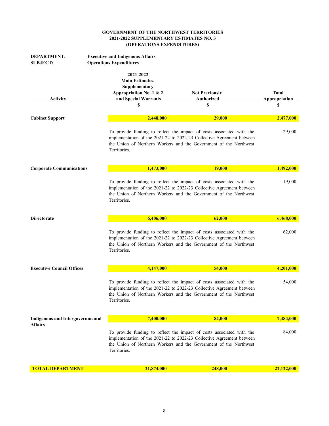| <b>DEPARTMENT:</b><br><b>SUBJECT:</b>   | <b>Executive and Indigenous Affairs</b><br><b>Operations Expenditures</b>                                    |                                                                                                                                                                                                                     |                                     |  |
|-----------------------------------------|--------------------------------------------------------------------------------------------------------------|---------------------------------------------------------------------------------------------------------------------------------------------------------------------------------------------------------------------|-------------------------------------|--|
| <b>Activity</b>                         | 2021-2022<br><b>Main Estimates,</b><br>Supplementary<br>Appropriation No. 1 & 2<br>and Special Warrants<br>S | <b>Not Previously</b><br><b>Authorized</b><br>S                                                                                                                                                                     | <b>Total</b><br>Appropriation<br>\$ |  |
| <b>Cabinet Support</b>                  | 2,448,000                                                                                                    | 29,000                                                                                                                                                                                                              | 2,477,000                           |  |
|                                         | Territories.                                                                                                 | To provide funding to reflect the impact of costs associated with the<br>implementation of the 2021-22 to 2022-23 Collective Agreement between<br>the Union of Northern Workers and the Government of the Northwest | 29,000                              |  |
| <b>Corporate Communications</b>         | 1,473,000                                                                                                    | <b>19,000</b>                                                                                                                                                                                                       | 1,492,000                           |  |
|                                         | Territories.                                                                                                 | To provide funding to reflect the impact of costs associated with the<br>implementation of the 2021-22 to 2022-23 Collective Agreement between<br>the Union of Northern Workers and the Government of the Northwest |                                     |  |
| <b>Directorate</b>                      | 6,406,000                                                                                                    | 62,000                                                                                                                                                                                                              | 6,468,000                           |  |
|                                         | Territories.                                                                                                 | To provide funding to reflect the impact of costs associated with the<br>implementation of the 2021-22 to 2022-23 Collective Agreement between<br>the Union of Northern Workers and the Government of the Northwest | 62,000                              |  |
| <b>Executive Council Offices</b>        | 4,147,000                                                                                                    | 54,000                                                                                                                                                                                                              | 4,201,000                           |  |
|                                         | Territories.                                                                                                 | To provide funding to reflect the impact of costs associated with the<br>implementation of the 2021-22 to 2022-23 Collective Agreement between<br>the Union of Northern Workers and the Government of the Northwest | 54,000                              |  |
| <b>Indigenous and Intergovernmental</b> | 7,400,000                                                                                                    | 84,000                                                                                                                                                                                                              | 7,484,000                           |  |
| <b>Affairs</b>                          | Territories.                                                                                                 | To provide funding to reflect the impact of costs associated with the<br>implementation of the 2021-22 to 2022-23 Collective Agreement between<br>the Union of Northern Workers and the Government of the Northwest | 84,000                              |  |
| <b>TOTAL DEPARTMENT</b>                 | 21,874,000                                                                                                   | 248,000                                                                                                                                                                                                             | 22,122,000                          |  |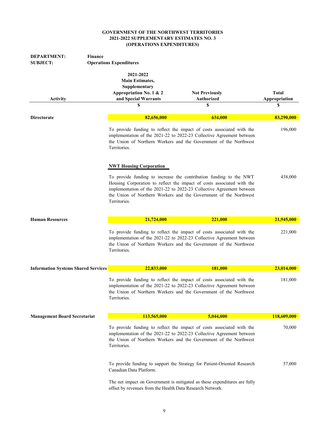| <b>DEPARTMENT:</b>                         | <b>Finance</b>                                                                                          |                                                                                                                                                                                                                                                                                            |                               |
|--------------------------------------------|---------------------------------------------------------------------------------------------------------|--------------------------------------------------------------------------------------------------------------------------------------------------------------------------------------------------------------------------------------------------------------------------------------------|-------------------------------|
| <b>SUBJECT:</b>                            | <b>Operations Expenditures</b>                                                                          |                                                                                                                                                                                                                                                                                            |                               |
| <b>Activity</b>                            | 2021-2022<br><b>Main Estimates,</b><br>Supplementary<br>Appropriation No. 1 & 2<br>and Special Warrants | <b>Not Previously</b><br><b>Authorized</b>                                                                                                                                                                                                                                                 | <b>Total</b><br>Appropriation |
|                                            | S                                                                                                       | S                                                                                                                                                                                                                                                                                          | S                             |
|                                            |                                                                                                         |                                                                                                                                                                                                                                                                                            |                               |
| <b>Directorate</b>                         | 82,656,000                                                                                              | 634,000                                                                                                                                                                                                                                                                                    | 83,290,000                    |
|                                            | Territories.                                                                                            | To provide funding to reflect the impact of costs associated with the<br>implementation of the 2021-22 to 2022-23 Collective Agreement between<br>the Union of Northern Workers and the Government of the Northwest                                                                        | 196,000                       |
|                                            | <b>NWT Housing Corporation</b>                                                                          |                                                                                                                                                                                                                                                                                            |                               |
|                                            | Territories.                                                                                            | To provide funding to increase the contribution funding to the NWT<br>Housing Corporation to reflect the impact of costs associated with the<br>implementation of the 2021-22 to 2022-23 Collective Agreement between<br>the Union of Northern Workers and the Government of the Northwest | 438,000                       |
| <b>Human Resources</b>                     | 21,724,000                                                                                              | 221,000                                                                                                                                                                                                                                                                                    | 21,945,000                    |
|                                            | Territories.                                                                                            | To provide funding to reflect the impact of costs associated with the<br>implementation of the 2021-22 to 2022-23 Collective Agreement between<br>the Union of Northern Workers and the Government of the Northwest                                                                        | 221,000                       |
| <b>Information Systems Shared Services</b> | 22,833,000                                                                                              | 181,000                                                                                                                                                                                                                                                                                    | 23,014,000                    |
|                                            | Territories.                                                                                            | To provide funding to reflect the impact of costs associated with the<br>implementation of the 2021-22 to 2022-23 Collective Agreement between<br>the Union of Northern Workers and the Government of the Northwest                                                                        | 181,000                       |
| <b>Management Board Secretariat</b>        | 113,565,000                                                                                             | 5,044,000                                                                                                                                                                                                                                                                                  | 118,609,000                   |
|                                            | Territories.                                                                                            | To provide funding to reflect the impact of costs associated with the<br>implementation of the 2021-22 to 2022-23 Collective Agreement between<br>the Union of Northern Workers and the Government of the Northwest                                                                        | 70,000                        |
|                                            | Canadian Data Platform.                                                                                 | To provide funding to support the Strategy for Patient-Oriented Research                                                                                                                                                                                                                   | 57,000                        |
|                                            | offset by revenues from the Health Data Research Network.                                               | The net impact on Government is mitigated as these expenditures are fully                                                                                                                                                                                                                  |                               |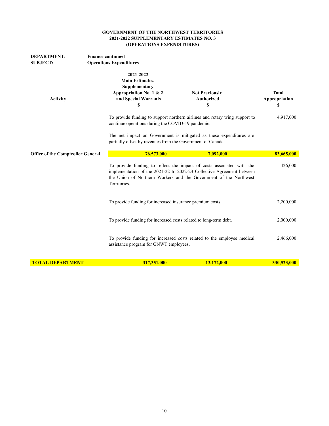| <b>DEPARTMENT:</b><br><b>SUBJECT:</b>    | <b>Finance continued</b><br><b>Operations Expenditures</b> |                                                                                                                                                                                                                     |                                                                            |                               |
|------------------------------------------|------------------------------------------------------------|---------------------------------------------------------------------------------------------------------------------------------------------------------------------------------------------------------------------|----------------------------------------------------------------------------|-------------------------------|
| <b>Activity</b>                          |                                                            | 2021-2022<br><b>Main Estimates,</b><br>Supplementary<br>Appropriation No. 1 & 2<br>and Special Warrants                                                                                                             | <b>Not Previously</b><br><b>Authorized</b>                                 | <b>Total</b><br>Appropriation |
|                                          |                                                            | \$                                                                                                                                                                                                                  | \$                                                                         | \$                            |
|                                          |                                                            | continue operations during the COVID-19 pandemic.                                                                                                                                                                   | To provide funding to support northern airlines and rotary wing support to | 4,917,000                     |
|                                          |                                                            | partially offset by revenues from the Government of Canada.                                                                                                                                                         | The net impact on Government is mitigated as these expenditures are        |                               |
| <b>Office of the Comptroller General</b> |                                                            | 76,573,000                                                                                                                                                                                                          | 7,092,000                                                                  | 83,665,000                    |
|                                          | Territories.                                               | To provide funding to reflect the impact of costs associated with the<br>implementation of the 2021-22 to 2022-23 Collective Agreement between<br>the Union of Northern Workers and the Government of the Northwest |                                                                            |                               |
|                                          |                                                            | To provide funding for increased insurance premium costs.                                                                                                                                                           |                                                                            | 2,200,000                     |
|                                          |                                                            |                                                                                                                                                                                                                     | To provide funding for increased costs related to long-term debt.          | 2,000,000                     |
|                                          |                                                            | assistance program for GNWT employees.                                                                                                                                                                              | To provide funding for increased costs related to the employee medical     | 2,466,000                     |
| <b>TOTAL DEPARTMENT</b>                  |                                                            | 317,351,000                                                                                                                                                                                                         | 13,172,000                                                                 | 330,523,000                   |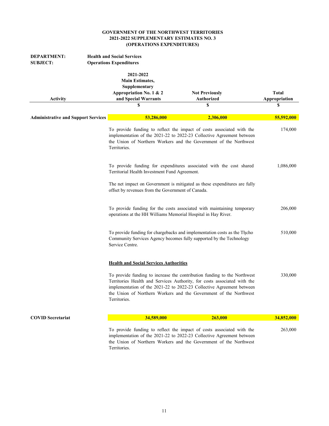| <b>DEPARTMENT:</b><br><b>SUBJECT:</b>      | <b>Health and Social Services</b><br><b>Operations Expenditures</b>                                           |                                                                                                                                                                                                                                                                                                    |                                     |
|--------------------------------------------|---------------------------------------------------------------------------------------------------------------|----------------------------------------------------------------------------------------------------------------------------------------------------------------------------------------------------------------------------------------------------------------------------------------------------|-------------------------------------|
| <b>Activity</b>                            | 2021-2022<br><b>Main Estimates,</b><br>Supplementary<br>Appropriation No. 1 & 2<br>and Special Warrants<br>\$ | <b>Not Previously</b><br>Authorized<br>S                                                                                                                                                                                                                                                           | <b>Total</b><br>Appropriation<br>\$ |
| <b>Administrative and Support Services</b> | 53,286,000                                                                                                    | 2,306,000                                                                                                                                                                                                                                                                                          | 55,592,000                          |
|                                            | Territories.                                                                                                  | To provide funding to reflect the impact of costs associated with the<br>implementation of the 2021-22 to 2022-23 Collective Agreement between<br>the Union of Northern Workers and the Government of the Northwest                                                                                |                                     |
|                                            | Territorial Health Investment Fund Agreement.                                                                 | To provide funding for expenditures associated with the cost shared                                                                                                                                                                                                                                | 1,086,000                           |
|                                            | offset by revenues from the Government of Canada.                                                             | The net impact on Government is mitigated as these expenditures are fully                                                                                                                                                                                                                          |                                     |
|                                            | operations at the HH Williams Memorial Hospital in Hay River.                                                 | To provide funding for the costs associated with maintaining temporary                                                                                                                                                                                                                             | 206,000                             |
|                                            | Service Centre.                                                                                               | To provide funding for chargebacks and implementation costs as the Tłįcho<br>Community Services Agency becomes fully supported by the Technology                                                                                                                                                   | 510,000                             |
|                                            | <b>Health and Social Services Authorities</b>                                                                 |                                                                                                                                                                                                                                                                                                    |                                     |
|                                            | Territories.                                                                                                  | To provide funding to increase the contribution funding to the Northwest<br>Territories Health and Services Authority, for costs associated with the<br>implementation of the 2021-22 to 2022-23 Collective Agreement between<br>the Union of Northern Workers and the Government of the Northwest | 330,000                             |
| <b>COVID Secretariat</b>                   | 34,589,000                                                                                                    | 263,000                                                                                                                                                                                                                                                                                            | 34,852,000                          |
|                                            | Territories.                                                                                                  | To provide funding to reflect the impact of costs associated with the<br>implementation of the 2021-22 to 2022-23 Collective Agreement between<br>the Union of Northern Workers and the Government of the Northwest                                                                                | 263,000                             |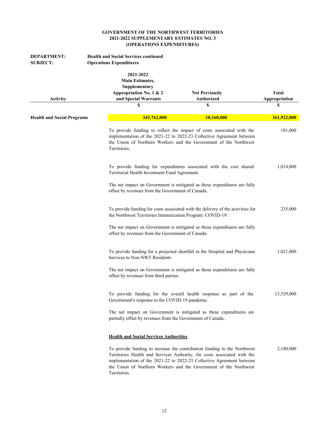| <b>DEPARTMENT:</b><br><b>SUBJECT:</b> | <b>Health and Social Services continued</b><br><b>Operations Expenditures</b>                           |                                                                                                                                                                                                                                                                                                    |                               |
|---------------------------------------|---------------------------------------------------------------------------------------------------------|----------------------------------------------------------------------------------------------------------------------------------------------------------------------------------------------------------------------------------------------------------------------------------------------------|-------------------------------|
| <b>Activity</b>                       | 2021-2022<br><b>Main Estimates,</b><br>Supplementary<br>Appropriation No. 1 & 2<br>and Special Warrants | <b>Not Previously</b><br>Authorized                                                                                                                                                                                                                                                                | <b>Total</b><br>Appropriation |
|                                       | \$                                                                                                      | S                                                                                                                                                                                                                                                                                                  | \$                            |
| <b>Health and Social Programs</b>     | 343,762,000                                                                                             | 18,160,000                                                                                                                                                                                                                                                                                         | 361,922,000                   |
|                                       | Territories.                                                                                            | To provide funding to reflect the impact of costs associated with the<br>implementation of the 2021-22 to 2022-23 Collective Agreement between<br>the Union of Northern Workers and the Government of the Northwest                                                                                | 181,000                       |
|                                       | Territorial Health Investment Fund Agreement.                                                           | To provide funding for expenditures associated with the cost shared                                                                                                                                                                                                                                | 1,014,000                     |
|                                       | offset by revenues from the Government of Canada.                                                       | The net impact on Government is mitigated as these expenditures are fully                                                                                                                                                                                                                          |                               |
|                                       | the Northwest Territories Immunization Program: COVID-19.                                               | To provide funding for costs associated with the delivery of the activities for                                                                                                                                                                                                                    | 235,000                       |
|                                       | offset by revenues from the Government of Canada.                                                       | The net impact on Government is mitigated as these expenditures are fully                                                                                                                                                                                                                          |                               |
|                                       | Services to Non-NWT Residents                                                                           | To provide funding for a projected shortfall in the Hospital and Physicians                                                                                                                                                                                                                        | 1,021,000                     |
|                                       | offset by revenues from third parties.                                                                  | The net impact on Government is mitigated as these expenditures are fully                                                                                                                                                                                                                          |                               |
|                                       | Government's response to the COVID-19 pandemic.                                                         | To provide funding for the overall health response as part of the                                                                                                                                                                                                                                  | 13,529,000                    |
|                                       | partially offset by revenues from the Government of Canada.                                             | The net impact on Government is mitigated as these expenditures are                                                                                                                                                                                                                                |                               |
|                                       | <b>Health and Social Services Authorities</b>                                                           |                                                                                                                                                                                                                                                                                                    |                               |
|                                       | Territories.                                                                                            | To provide funding to increase the contribution funding to the Northwest<br>Territories Health and Services Authority, for costs associated with the<br>implementation of the 2021-22 to 2022-23 Collective Agreement between<br>the Union of Northern Workers and the Government of the Northwest | 2,180,000                     |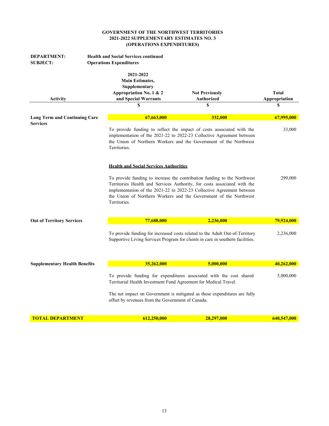| <b>Health and Social Services continued</b><br><b>DEPARTMENT:</b><br><b>Operations Expenditures</b><br><b>SUBJECT:</b> |  |                                                                                                                                                                                                                                     |                                                                                                                                                                                                                                                                                                    |                               |
|------------------------------------------------------------------------------------------------------------------------|--|-------------------------------------------------------------------------------------------------------------------------------------------------------------------------------------------------------------------------------------|----------------------------------------------------------------------------------------------------------------------------------------------------------------------------------------------------------------------------------------------------------------------------------------------------|-------------------------------|
| Activity                                                                                                               |  | 2021-2022<br><b>Main Estimates,</b><br>Supplementary<br>Appropriation No. 1 & 2<br>and Special Warrants                                                                                                                             | <b>Not Previously</b><br>Authorized                                                                                                                                                                                                                                                                | <b>Total</b><br>Appropriation |
|                                                                                                                        |  | \$                                                                                                                                                                                                                                  | S                                                                                                                                                                                                                                                                                                  | \$                            |
| <b>Long Term and Continuing Care</b><br><b>Services</b>                                                                |  | 67,663,000                                                                                                                                                                                                                          | 332,000                                                                                                                                                                                                                                                                                            | 67,995,000                    |
|                                                                                                                        |  | To provide funding to reflect the impact of costs associated with the<br>implementation of the 2021-22 to 2022-23 Collective Agreement between<br>the Union of Northern Workers and the Government of the Northwest<br>Territories. | 33,000                                                                                                                                                                                                                                                                                             |                               |
|                                                                                                                        |  | <b>Health and Social Services Authorities</b>                                                                                                                                                                                       |                                                                                                                                                                                                                                                                                                    |                               |
|                                                                                                                        |  | Territories.                                                                                                                                                                                                                        | To provide funding to increase the contribution funding to the Northwest<br>Territories Health and Services Authority, for costs associated with the<br>implementation of the 2021-22 to 2022-23 Collective Agreement between<br>the Union of Northern Workers and the Government of the Northwest | 299,000                       |
| <b>Out of Territory Services</b>                                                                                       |  | 77,688,000                                                                                                                                                                                                                          | 2,236,000                                                                                                                                                                                                                                                                                          | <b>79,924,000</b>             |
|                                                                                                                        |  |                                                                                                                                                                                                                                     | To provide funding for increased costs related to the Adult Out-of-Territory<br>Supportive Living Services Program for clients in care in southern facilities.                                                                                                                                     | 2,236,000                     |
| <b>Supplementary Health Benefits</b>                                                                                   |  | 35,262,000                                                                                                                                                                                                                          | 5,000,000                                                                                                                                                                                                                                                                                          | 40,262,000                    |
|                                                                                                                        |  | To provide funding for expenditures associated with the cost shared<br>Territorial Health Investment Fund Agreement for Medical Travel.                                                                                             |                                                                                                                                                                                                                                                                                                    | 5,000,000                     |
|                                                                                                                        |  | offset by revenues from the Government of Canada.                                                                                                                                                                                   | The net impact on Government is mitigated as these expenditures are fully                                                                                                                                                                                                                          |                               |
| <b>TOTAL DEPARTMENT</b>                                                                                                |  | 612,250,000                                                                                                                                                                                                                         | 28.297,000                                                                                                                                                                                                                                                                                         | 640.547.000                   |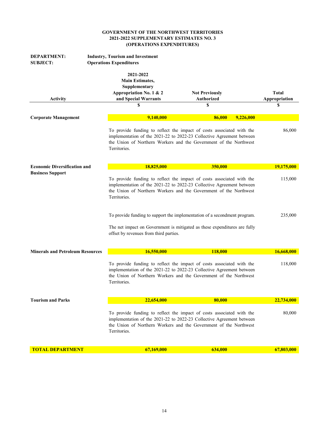| <b>DEPARTMENT:</b><br><b>SUBJECT:</b>   | <b>Industry, Tourism and Investment</b><br><b>Operations Expenditures</b>                                    |                                                                                                                                                                                                                     |                                    |
|-----------------------------------------|--------------------------------------------------------------------------------------------------------------|---------------------------------------------------------------------------------------------------------------------------------------------------------------------------------------------------------------------|------------------------------------|
| <b>Activity</b>                         | 2021-2022<br><b>Main Estimates,</b><br>Supplementary<br>Appropriation No. 1 & 2<br>and Special Warrants<br>S | <b>Not Previously</b><br><b>Authorized</b><br>S                                                                                                                                                                     | <b>Total</b><br>Appropriation<br>S |
| <b>Corporate Management</b>             | 9,140,000                                                                                                    | 86,000                                                                                                                                                                                                              | 9,226,000                          |
|                                         | Territories.                                                                                                 | To provide funding to reflect the impact of costs associated with the<br>implementation of the 2021-22 to 2022-23 Collective Agreement between<br>the Union of Northern Workers and the Government of the Northwest | 86,000                             |
| <b>Economic Diversification and</b>     | 18,825,000                                                                                                   | 350,000                                                                                                                                                                                                             | 19,175,000                         |
| <b>Business Support</b>                 | Territories.                                                                                                 | To provide funding to reflect the impact of costs associated with the<br>implementation of the 2021-22 to 2022-23 Collective Agreement between<br>the Union of Northern Workers and the Government of the Northwest | 115,000                            |
|                                         | offset by revenues from third parties.                                                                       | To provide funding to support the implementation of a secondment program.<br>The net impact on Government is mitigated as these expenditures are fully                                                              | 235,000                            |
| <b>Minerals and Petroleum Resources</b> | 16,550,000                                                                                                   | 118,000                                                                                                                                                                                                             | 16,668,000                         |
|                                         | Territories.                                                                                                 | To provide funding to reflect the impact of costs associated with the<br>implementation of the 2021-22 to 2022-23 Collective Agreement between<br>the Union of Northern Workers and the Government of the Northwest | 118,000                            |
| <b>Tourism and Parks</b>                | 22,654,000                                                                                                   | 80,000                                                                                                                                                                                                              | <b>22,734,000</b>                  |
|                                         | Territories.                                                                                                 | To provide funding to reflect the impact of costs associated with the<br>implementation of the 2021-22 to 2022-23 Collective Agreement between<br>the Union of Northern Workers and the Government of the Northwest | 80,000                             |
| <b>TOTAL DEPARTMENT</b>                 | 67,169,000                                                                                                   | 634,000                                                                                                                                                                                                             | 67,803,000                         |
|                                         |                                                                                                              |                                                                                                                                                                                                                     |                                    |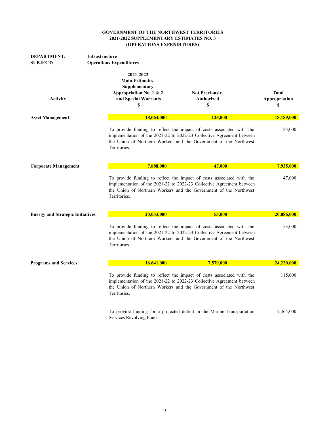| <b>DEPARTMENT:</b><br><b>SUBJECT:</b>   | <b>Infrastructure</b><br><b>Operations Expenditures</b>                                          |                                                                                                                                                                                                                     |                               |
|-----------------------------------------|--------------------------------------------------------------------------------------------------|---------------------------------------------------------------------------------------------------------------------------------------------------------------------------------------------------------------------|-------------------------------|
| <b>Activity</b>                         | 2021-2022<br>Main Estimates,<br>Supplementary<br>Appropriation No. 1 & 2<br>and Special Warrants | <b>Not Previously</b><br>Authorized                                                                                                                                                                                 | <b>Total</b><br>Appropriation |
|                                         | S                                                                                                | \$                                                                                                                                                                                                                  | \$                            |
| <b>Asset Management</b>                 | 18,064,000                                                                                       | 125,000                                                                                                                                                                                                             | 18,189,000                    |
|                                         | Territories.                                                                                     | To provide funding to reflect the impact of costs associated with the<br>implementation of the 2021-22 to 2022-23 Collective Agreement between<br>the Union of Northern Workers and the Government of the Northwest | 125,000                       |
| <b>Corporate Management</b>             | 7,888,000                                                                                        | 47,000                                                                                                                                                                                                              | 7,935,000                     |
|                                         | Territories.                                                                                     | To provide funding to reflect the impact of costs associated with the<br>implementation of the 2021-22 to 2022-23 Collective Agreement between<br>the Union of Northern Workers and the Government of the Northwest | 47,000                        |
| <b>Energy and Strategic Initiatives</b> | 20.033.000                                                                                       | 53,000                                                                                                                                                                                                              | 20,086,000                    |
|                                         | Territories.                                                                                     | To provide funding to reflect the impact of costs associated with the<br>implementation of the 2021-22 to 2022-23 Collective Agreement between<br>the Union of Northern Workers and the Government of the Northwest |                               |
| <b>Programs and Services</b>            | 16,641,000                                                                                       | 7,579,000                                                                                                                                                                                                           | 24,220,000                    |
|                                         | Territories.                                                                                     | To provide funding to reflect the impact of costs associated with the<br>implementation of the 2021-22 to 2022-23 Collective Agreement between<br>the Union of Northern Workers and the Government of the Northwest | 115,000                       |
|                                         | Services Revolving Fund.                                                                         | To provide funding for a projected deficit in the Marine Transportation                                                                                                                                             | 7,464,000                     |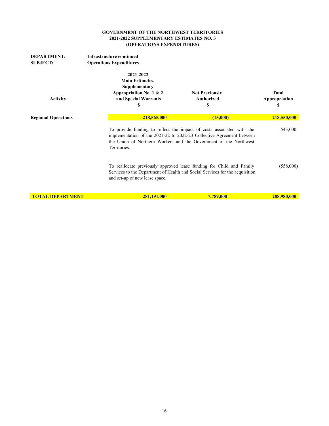| <b>DEPARTMENT:</b><br><b>SUBJECT:</b> | Infrastructure continued<br><b>Operations Expenditures</b>                                              |                                                                                                                                                                                                                     |                               |
|---------------------------------------|---------------------------------------------------------------------------------------------------------|---------------------------------------------------------------------------------------------------------------------------------------------------------------------------------------------------------------------|-------------------------------|
| <b>Activity</b>                       | 2021-2022<br><b>Main Estimates,</b><br>Supplementary<br>Appropriation No. 1 & 2<br>and Special Warrants | <b>Not Previously</b><br><b>Authorized</b>                                                                                                                                                                          | <b>Total</b><br>Appropriation |
|                                       | S                                                                                                       | S                                                                                                                                                                                                                   | S                             |
| <b>Regional Operations</b>            | 218,565,000                                                                                             | (15,000)                                                                                                                                                                                                            | 218,550,000                   |
|                                       | Territories.                                                                                            | To provide funding to reflect the impact of costs associated with the<br>implementation of the 2021-22 to 2022-23 Collective Agreement between<br>the Union of Northern Workers and the Government of the Northwest | 543,000                       |
|                                       | and set-up of new lease space.                                                                          | To reallocate previously approved lease funding for Child and Family<br>Services to the Department of Health and Social Services for the acquisition                                                                | (558,000)                     |
| <b>TOTAL DEPARTMENT</b>               | 281,191,000                                                                                             | 7,789,000                                                                                                                                                                                                           | 288,980,000                   |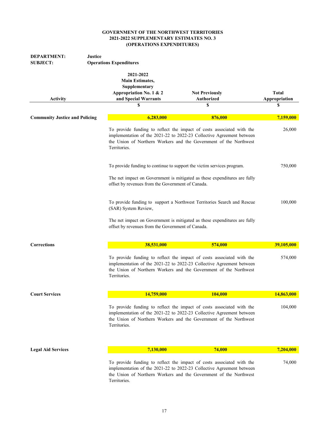| <b>DEPARTMENT:</b><br><b>Justice</b><br><b>SUBJECT:</b> | <b>Operations Expenditures</b>                                                                          |                                                                                                                                                                                                                     |                               |
|---------------------------------------------------------|---------------------------------------------------------------------------------------------------------|---------------------------------------------------------------------------------------------------------------------------------------------------------------------------------------------------------------------|-------------------------------|
| <b>Activity</b>                                         | 2021-2022<br><b>Main Estimates,</b><br>Supplementary<br>Appropriation No. 1 & 2<br>and Special Warrants | <b>Not Previously</b><br>Authorized                                                                                                                                                                                 | <b>Total</b><br>Appropriation |
|                                                         | \$                                                                                                      | S                                                                                                                                                                                                                   | \$                            |
| <b>Community Justice and Policing</b>                   | 6,283,000                                                                                               | 876,000                                                                                                                                                                                                             | 7,159,000                     |
|                                                         | Territories.                                                                                            | To provide funding to reflect the impact of costs associated with the<br>implementation of the 2021-22 to 2022-23 Collective Agreement between<br>the Union of Northern Workers and the Government of the Northwest | 26,000                        |
|                                                         |                                                                                                         | To provide funding to continue to support the victim services program.                                                                                                                                              | 750,000                       |
|                                                         | offset by revenues from the Government of Canada.                                                       | The net impact on Government is mitigated as these expenditures are fully                                                                                                                                           |                               |
|                                                         | (SAR) System Review,                                                                                    | To provide funding to support a Northwest Territories Search and Rescue                                                                                                                                             | 100,000                       |
|                                                         | offset by revenues from the Government of Canada.                                                       | The net impact on Government is mitigated as these expenditures are fully                                                                                                                                           |                               |
| Corrections                                             | 38,531,000                                                                                              | 574,000                                                                                                                                                                                                             | 39,105,000                    |
|                                                         | Territories.                                                                                            | To provide funding to reflect the impact of costs associated with the<br>implementation of the 2021-22 to 2022-23 Collective Agreement between<br>the Union of Northern Workers and the Government of the Northwest | 574,000                       |
| <b>Court Services</b>                                   | 14,759,000                                                                                              | 104,000                                                                                                                                                                                                             | 14,863,000                    |
|                                                         | Territories.                                                                                            | To provide funding to reflect the impact of costs associated with the<br>implementation of the 2021-22 to 2022-23 Collective Agreement between<br>the Union of Northern Workers and the Government of the Northwest | 104,000                       |
| <b>Legal Aid Services</b>                               | 7,130,000                                                                                               | 74,000                                                                                                                                                                                                              | 7,204,000                     |
|                                                         | Territories.                                                                                            | To provide funding to reflect the impact of costs associated with the<br>implementation of the 2021-22 to 2022-23 Collective Agreement between<br>the Union of Northern Workers and the Government of the Northwest | 74,000                        |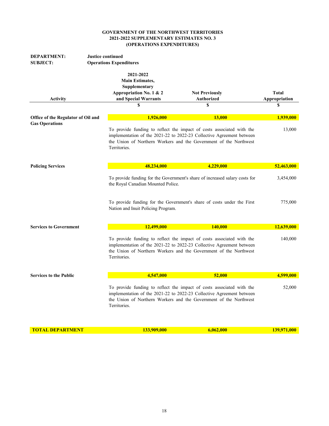| <b>DEPARTMENT:</b><br><b>SUBJECT:</b> | <b>Justice continued</b><br><b>Operations Expenditures</b>                                                    |                                                                                                                                                                                                                     |                              |
|---------------------------------------|---------------------------------------------------------------------------------------------------------------|---------------------------------------------------------------------------------------------------------------------------------------------------------------------------------------------------------------------|------------------------------|
| <b>Activity</b>                       | 2021-2022<br><b>Main Estimates,</b><br>Supplementary<br>Appropriation No. 1 & 2<br>and Special Warrants<br>\$ | <b>Not Previously</b><br>Authorized<br>$\mathbf S$                                                                                                                                                                  | Total<br>Appropriation<br>\$ |
| Office of the Regulator of Oil and    | 1,926,000                                                                                                     | <b>13,000</b>                                                                                                                                                                                                       | 1,939,000                    |
| <b>Gas Operations</b>                 | Territories.                                                                                                  | To provide funding to reflect the impact of costs associated with the<br>implementation of the 2021-22 to 2022-23 Collective Agreement between<br>the Union of Northern Workers and the Government of the Northwest | 13,000                       |
| <b>Policing Services</b>              | 48,234,000                                                                                                    | 4,229,000                                                                                                                                                                                                           | 52,463,000                   |
|                                       | the Royal Canadian Mounted Police.                                                                            | To provide funding for the Government's share of increased salary costs for                                                                                                                                         | 3,454,000                    |
|                                       | Nation and Inuit Policing Program.                                                                            | To provide funding for the Government's share of costs under the First                                                                                                                                              | 775,000                      |
| <b>Services to Government</b>         | 12,499,000                                                                                                    | 140,000                                                                                                                                                                                                             | 12,639,000                   |
|                                       | Territories.                                                                                                  | To provide funding to reflect the impact of costs associated with the<br>implementation of the 2021-22 to 2022-23 Collective Agreement between<br>the Union of Northern Workers and the Government of the Northwest | 140,000                      |
| <b>Services to the Public</b>         | 4,547,000                                                                                                     | 52,000                                                                                                                                                                                                              | 4,599,000                    |
|                                       | Territories.                                                                                                  | To provide funding to reflect the impact of costs associated with the<br>implementation of the 2021-22 to 2022-23 Collective Agreement between<br>the Union of Northern Workers and the Government of the Northwest | 52,000                       |
| <b>TOTAL DEPARTMENT</b>               | 133,909,000                                                                                                   | 6,062,000                                                                                                                                                                                                           | 139,971,000                  |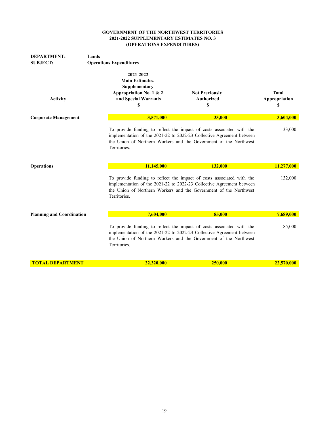| <b>DEPARTMENT:</b>               | Lands                                                                           |                                                                                                                                                                                                                     |                     |
|----------------------------------|---------------------------------------------------------------------------------|---------------------------------------------------------------------------------------------------------------------------------------------------------------------------------------------------------------------|---------------------|
| <b>SUBJECT:</b>                  | <b>Operations Expenditures</b>                                                  |                                                                                                                                                                                                                     |                     |
|                                  | 2021-2022<br><b>Main Estimates,</b><br>Supplementary<br>Appropriation No. 1 & 2 | <b>Not Previously</b>                                                                                                                                                                                               | <b>Total</b>        |
| <b>Activity</b>                  | and Special Warrants<br>\$                                                      | <b>Authorized</b><br>\$                                                                                                                                                                                             | Appropriation<br>\$ |
|                                  |                                                                                 |                                                                                                                                                                                                                     |                     |
| <b>Corporate Management</b>      | 3,571,000                                                                       | 33,000                                                                                                                                                                                                              | 3,604,000           |
|                                  | Territories.                                                                    | To provide funding to reflect the impact of costs associated with the<br>implementation of the 2021-22 to 2022-23 Collective Agreement between<br>the Union of Northern Workers and the Government of the Northwest | 33,000              |
|                                  |                                                                                 |                                                                                                                                                                                                                     |                     |
| <b>Operations</b>                | 11,145,000                                                                      | 132,000                                                                                                                                                                                                             | 11,277,000          |
|                                  | Territories.                                                                    | To provide funding to reflect the impact of costs associated with the<br>implementation of the 2021-22 to 2022-23 Collective Agreement between<br>the Union of Northern Workers and the Government of the Northwest | 132,000             |
| <b>Planning and Coordination</b> | 7,604,000                                                                       | 85,000                                                                                                                                                                                                              | 7,689,000           |
|                                  | Territories.                                                                    | To provide funding to reflect the impact of costs associated with the<br>implementation of the 2021-22 to 2022-23 Collective Agreement between<br>the Union of Northern Workers and the Government of the Northwest | 85,000              |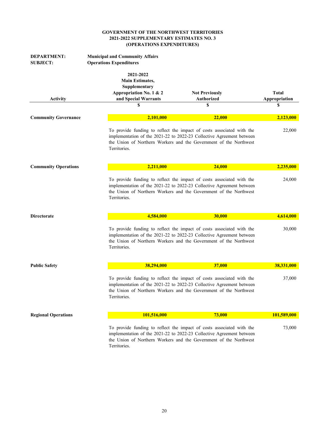| <b>DEPARTMENT:</b><br><b>SUBJECT:</b> | <b>Municipal and Community Affairs</b><br><b>Operations Expenditures</b>                                     |                                                                                                                                                                                                                     |                                     |
|---------------------------------------|--------------------------------------------------------------------------------------------------------------|---------------------------------------------------------------------------------------------------------------------------------------------------------------------------------------------------------------------|-------------------------------------|
| <b>Activity</b>                       | 2021-2022<br><b>Main Estimates,</b><br>Supplementary<br>Appropriation No. 1 & 2<br>and Special Warrants<br>S | <b>Not Previously</b><br><b>Authorized</b><br>\$                                                                                                                                                                    | <b>Total</b><br>Appropriation<br>\$ |
|                                       |                                                                                                              |                                                                                                                                                                                                                     |                                     |
| <b>Community Governance</b>           | 2,101,000                                                                                                    | 22,000                                                                                                                                                                                                              | 2,123,000                           |
|                                       | Territories.                                                                                                 | To provide funding to reflect the impact of costs associated with the<br>implementation of the 2021-22 to 2022-23 Collective Agreement between<br>the Union of Northern Workers and the Government of the Northwest |                                     |
| <b>Community Operations</b>           | 2,211,000                                                                                                    | 24,000                                                                                                                                                                                                              | 2,235,000                           |
|                                       | Territories.                                                                                                 | To provide funding to reflect the impact of costs associated with the<br>implementation of the 2021-22 to 2022-23 Collective Agreement between<br>the Union of Northern Workers and the Government of the Northwest |                                     |
| <b>Directorate</b>                    | 4,584,000                                                                                                    | 30,000                                                                                                                                                                                                              | 4,614,000                           |
|                                       | Territories.                                                                                                 | To provide funding to reflect the impact of costs associated with the<br>implementation of the 2021-22 to 2022-23 Collective Agreement between<br>the Union of Northern Workers and the Government of the Northwest | 30,000                              |
| <b>Public Safety</b>                  | 38,294,000                                                                                                   | 37,000                                                                                                                                                                                                              | 38,331,000                          |
|                                       | Territories.                                                                                                 | To provide funding to reflect the impact of costs associated with the<br>implementation of the 2021-22 to 2022-23 Collective Agreement between<br>the Union of Northern Workers and the Government of the Northwest | 37,000                              |
| <b>Regional Operations</b>            | 101,516,000                                                                                                  | 73,000                                                                                                                                                                                                              | 101,589,000                         |
|                                       | Territories.                                                                                                 | To provide funding to reflect the impact of costs associated with the<br>implementation of the 2021-22 to 2022-23 Collective Agreement between<br>the Union of Northern Workers and the Government of the Northwest | 73,000                              |